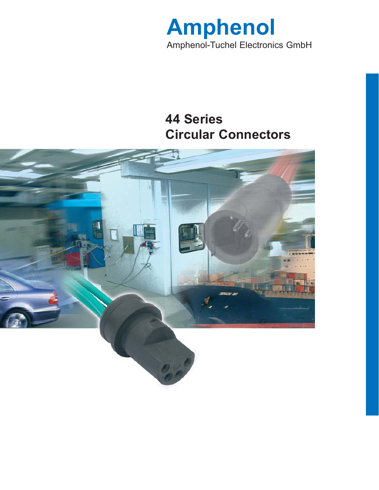

# **44 Series Circular Connectors**

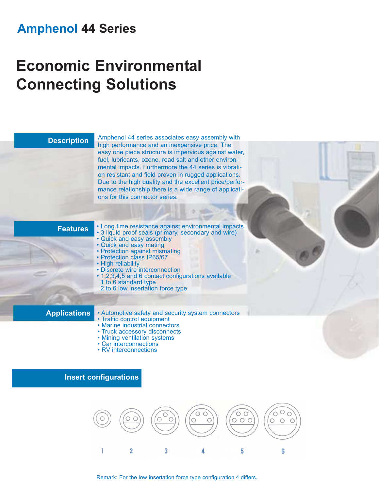## **Amphenol 44 Series**

# **Economic Environmental Connecting Solutions**

### **Description**

Amphenol 44 series associates easy assembly with high performance and an inexpensive price. The easy one piece structure is impervious against water, fuel, lubricants, ozone, road salt and other environmental impacts. Furthermore the 44 series is vibration resistant and field proven in rugged applications. Due to the high quality and the excellent price/performance relationship there is a wide range of applications for this connector series.

### **Features**

• Long time resistance against environmental impacts • 3 liquid proof seals (primary, secondary and wire) • Quick and easy assembly

- Quick and easy mating
- Protection against mismating • Protection class IP65/67
- 
- High reliability • Discrete wire interconnection
- 1,2,3,4,5 and 6 contact configurations available 1 to 6 standard type
- 2 to 6 low insertation force type

### **Applications**

- Automotive safety and security system connectors
- Traffic control equipment
- Marine industrial connectors
- Truck accessory disconnects
- Mining ventilation systems
- Car interconnections
- RV interconnections





Remark: For the low insertation force type configuration 4 differs.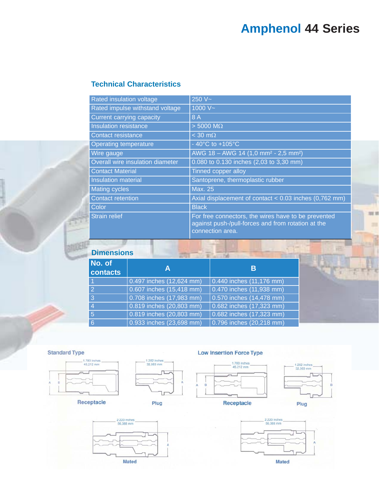# **Amphenol 44 Series**

## **Technical Characteristics**

| <b>Rated insulation voltage</b>  | 250 $V -$                                                                                                                     |
|----------------------------------|-------------------------------------------------------------------------------------------------------------------------------|
| Rated impulse withstand voltage  | 1000 $V -$                                                                                                                    |
| <b>Current carrying capacity</b> | 8 A                                                                                                                           |
| Insulation resistance            | $> 5000$ M $\Omega$                                                                                                           |
| Contact resistance               | $<$ 30 m $\Omega$                                                                                                             |
| <b>Operating temperature</b>     | - 40 $^{\circ}$ C to +105 $^{\circ}$ C                                                                                        |
| Wire gauge                       | AWG 18 - AWG 14 (1,0 mm <sup>2</sup> - 2,5 mm <sup>2</sup> )                                                                  |
| Overall wire insulation diameter | 0.080 to 0.130 inches (2,03 to 3,30 mm)                                                                                       |
| <b>Contact Material</b>          | Tinned copper alloy                                                                                                           |
| Insulation material              | Santoprene, thermoplastic rubber                                                                                              |
| <b>Mating cycles</b>             | <b>Max. 25</b>                                                                                                                |
| <b>Contact retention</b>         | Axial displacement of contact $< 0.03$ inches (0,762 mm)                                                                      |
| Color                            | <b>Black</b>                                                                                                                  |
| <b>Strain relief</b>             | For free connectors, the wires have to be prevented<br>against push-/pull-forces and from rotation at the<br>connection area. |

### **Dimensions**

ø

| A                            | В                             |
|------------------------------|-------------------------------|
| 0.497 inches (12,624 mm)     | $0.440$ inches $(11, 176$ mm) |
| $0.607$ inches $(15,418$ mm) | 0.470 inches (11,938 mm)      |
| 0.708 inches (17,983 mm)     | $0.570$ inches $(14, 478$ mm) |
| 0.819 inches (20,803 mm)     | 0.682 inches (17,323 mm)      |
| 0.819 inches (20,803 mm)     | 0.682 inches (17,323 mm)      |
| 0.933 inches (23,698 mm)     | 0.796 inches (20,218 mm)      |
|                              |                               |

### **Standard Type**

**BRUGER** 



1.282 inches<br>32,563 mm

### **Low Insertion Force Type**





開開

2.220 inches<br>56,388 mm **Mated** 







**Mated**